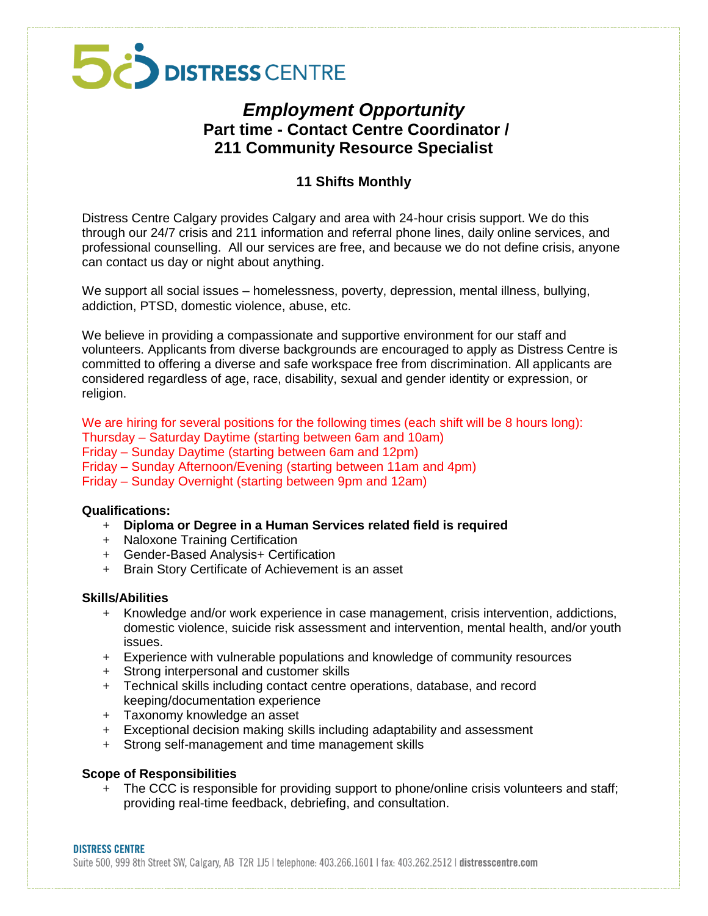# 50 DISTRESS CENTRE

### *Employment Opportunity*  **Part time - Contact Centre Coordinator / 211 Community Resource Specialist**

### **11 Shifts Monthly**

Distress Centre Calgary provides Calgary and area with 24-hour crisis support. We do this through our 24/7 crisis and 211 information and referral phone lines, daily online services, and professional counselling. All our services are free, and because we do not define crisis, anyone can contact us day or night about anything.

We support all social issues – homelessness, poverty, depression, mental illness, bullying, addiction, PTSD, domestic violence, abuse, etc.

We believe in providing a compassionate and supportive environment for our staff and volunteers. Applicants from diverse backgrounds are encouraged to apply as Distress Centre is committed to offering a diverse and safe workspace free from discrimination. All applicants are considered regardless of age, race, disability, sexual and gender identity or expression, or religion.

We are hiring for several positions for the following times (each shift will be 8 hours long): Thursday – Saturday Daytime (starting between 6am and 10am) Friday – Sunday Daytime (starting between 6am and 12pm) Friday – Sunday Afternoon/Evening (starting between 11am and 4pm) Friday – Sunday Overnight (starting between 9pm and 12am)

### **Qualifications:**

- + **Diploma or Degree in a Human Services related field is required**
- + Naloxone Training Certification
- + Gender-Based Analysis+ Certification
- + Brain Story Certificate of Achievement is an asset

### **Skills/Abilities**

- $+$  Knowledge and/or work experience in case management, crisis intervention, addictions, domestic violence, suicide risk assessment and intervention, mental health, and/or youth issues.
- + Experience with vulnerable populations and knowledge of community resources
- + Strong interpersonal and customer skills
- + Technical skills including contact centre operations, database, and record keeping/documentation experience
- + Taxonomy knowledge an asset
- + Exceptional decision making skills including adaptability and assessment
- + Strong self-management and time management skills

### **Scope of Responsibilities**

+ The CCC is responsible for providing support to phone/online crisis volunteers and staff; providing real-time feedback, debriefing, and consultation.

#### **DISTRESS CENTRE**

Suite 500, 999 8th Street SW, Calgary, AB T2R 1J5 I telephone: 403.266.1601 | fax: 403.262.2512 | distresscentre.com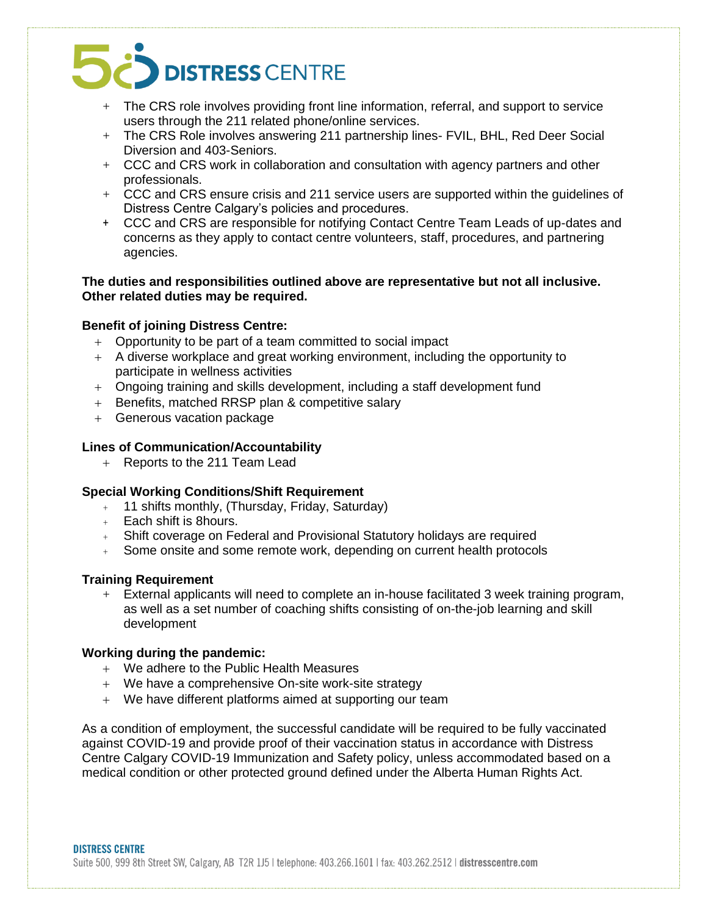## DISTRESS CENTRE

- $+$  The CRS role involves providing front line information, referral, and support to service users through the 211 related phone/online services.
- + The CRS Role involves answering 211 partnership lines- FVIL, BHL, Red Deer Social Diversion and 403-Seniors.
- + CCC and CRS work in collaboration and consultation with agency partners and other professionals.
- + CCC and CRS ensure crisis and 211 service users are supported within the guidelines of Distress Centre Calgary's policies and procedures.
- + CCC and CRS are responsible for notifying Contact Centre Team Leads of up-dates and concerns as they apply to contact centre volunteers, staff, procedures, and partnering agencies.

**The duties and responsibilities outlined above are representative but not all inclusive. Other related duties may be required.**

### **Benefit of joining Distress Centre:**

- Opportunity to be part of a team committed to social impact
- A diverse workplace and great working environment, including the opportunity to participate in wellness activities
- Ongoing training and skills development, including a staff development fund
- + Benefits, matched RRSP plan & competitive salary
- + Generous vacation package

### **Lines of Communication/Accountability**

+ Reports to the 211 Team Lead

### **Special Working Conditions/Shift Requirement**

- + 11 shifts monthly, (Thursday, Friday, Saturday)
- + Each shift is 8hours.
- + Shift coverage on Federal and Provisional Statutory holidays are required
- + Some onsite and some remote work, depending on current health protocols

#### **Training Requirement**

+ External applicants will need to complete an in-house facilitated 3 week training program, as well as a set number of coaching shifts consisting of on-the-job learning and skill development

### **Working during the pandemic:**

- We adhere to the Public Health Measures
- We have a comprehensive On-site work-site strategy
- We have different platforms aimed at supporting our team

As a condition of employment, the successful candidate will be required to be fully vaccinated against COVID-19 and provide proof of their vaccination status in accordance with Distress Centre Calgary COVID-19 Immunization and Safety policy, unless accommodated based on a medical condition or other protected ground defined under the Alberta Human Rights Act.